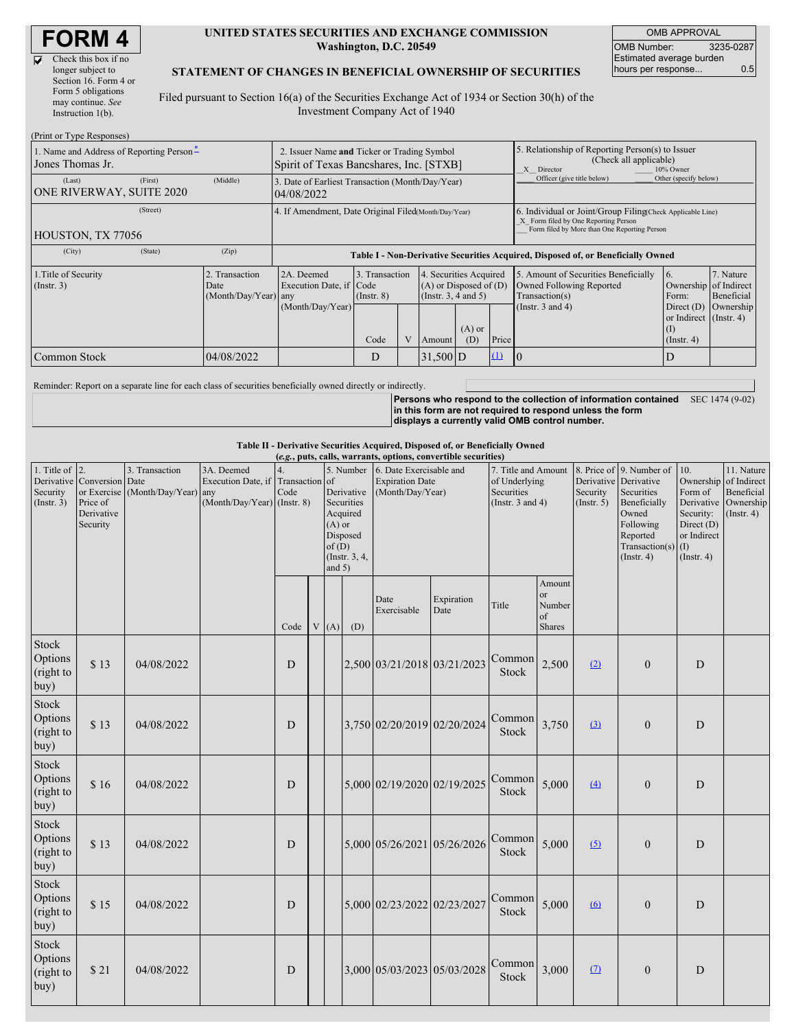$\overline{\mathbf{v}}$ 

| Check this box if no  |
|-----------------------|
| longer subject to     |
| Section 16. Form 4 or |
| Form 5 obligations    |
| may continue. See     |
| Instruction 1(b).     |
|                       |

#### **UNITED STATES SECURITIES AND EXCHANGE COMMISSION Washington, D.C. 20549**

OMB APPROVAL OMB Number: 3235-0287 Estimated average burden hours per response... 0.5

### **STATEMENT OF CHANGES IN BENEFICIAL OWNERSHIP OF SECURITIES**

Filed pursuant to Section 16(a) of the Securities Exchange Act of 1934 or Section 30(h) of the Investment Company Act of 1940

| (Print or Type Responses)                                    |                                                                                        |                                                                                  |                                                                                                                        |  |                                                                                                             |                                                      |                                                                                                       |                                                                                                                                                    |                                                   |  |  |
|--------------------------------------------------------------|----------------------------------------------------------------------------------------|----------------------------------------------------------------------------------|------------------------------------------------------------------------------------------------------------------------|--|-------------------------------------------------------------------------------------------------------------|------------------------------------------------------|-------------------------------------------------------------------------------------------------------|----------------------------------------------------------------------------------------------------------------------------------------------------|---------------------------------------------------|--|--|
| 1. Name and Address of Reporting Person-<br>Jones Thomas Jr. | 2. Issuer Name and Ticker or Trading Symbol<br>Spirit of Texas Bancshares, Inc. [STXB] |                                                                                  |                                                                                                                        |  |                                                                                                             |                                                      | 5. Relationship of Reporting Person(s) to Issuer<br>(Check all applicable)<br>X Director<br>10% Owner |                                                                                                                                                    |                                                   |  |  |
| (First)<br>(Last)<br>ONE RIVERWAY, SUITE 2020                | (Middle)                                                                               | 3. Date of Earliest Transaction (Month/Day/Year)<br>04/08/2022                   |                                                                                                                        |  |                                                                                                             |                                                      | Officer (give title below)                                                                            | Other (specify below)                                                                                                                              |                                                   |  |  |
| (Street)<br>HOUSTON, TX 77056                                |                                                                                        | 4. If Amendment, Date Original Filed Month/Day/Year)                             |                                                                                                                        |  |                                                                                                             |                                                      |                                                                                                       | 6. Individual or Joint/Group Filing Check Applicable Line)<br>X Form filed by One Reporting Person<br>Form filed by More than One Reporting Person |                                                   |  |  |
| (State)<br>(City)                                            | (Zip)                                                                                  | Table I - Non-Derivative Securities Acquired, Disposed of, or Beneficially Owned |                                                                                                                        |  |                                                                                                             |                                                      |                                                                                                       |                                                                                                                                                    |                                                   |  |  |
| 1. Title of Security<br>(Insert. 3)                          | 2. Transaction<br>Date<br>(Month/Day/Year) any                                         | 2A. Deemed<br>Execution Date, if Code<br>(Month/Day/Year)                        | 3. Transaction<br>4. Securities Acquired<br>$(A)$ or Disposed of $(D)$<br>$($ Instr. 3, 4 and 5 $)$<br>$($ Instr. $8)$ |  | 5. Amount of Securities Beneficially<br>Owned Following Reported<br>Transaction(s)<br>(Instr. $3$ and $4$ ) | 6.<br>Ownership of Indirect<br>Form:<br>Direct $(D)$ | 7. Nature<br>Beneficial<br>Ownership                                                                  |                                                                                                                                                    |                                                   |  |  |
|                                                              |                                                                                        |                                                                                  | Code                                                                                                                   |  | Amount                                                                                                      | $(A)$ or<br>(D)                                      | Price                                                                                                 |                                                                                                                                                    | or Indirect (Instr. 4)<br>(I)<br>$($ Instr. 4 $)$ |  |  |
| Common Stock                                                 | 04/08/2022                                                                             |                                                                                  | D                                                                                                                      |  | $31,500$ D                                                                                                  |                                                      | $\Omega$                                                                                              |                                                                                                                                                    | D                                                 |  |  |

Reminder: Report on a separate line for each class of securities beneficially owned directly or indirectly.

**Persons who respond to the collection of information contained in this form are not required to respond unless the form displays a currently valid OMB control number.** SEC 1474 (9-02)

#### **Table II - Derivative Securities Acquired, Disposed of, or Beneficially Owned**

| (e.g., puts, calls, warrants, options, convertible securities) |                                                                  |                                                    |                                                                                |            |  |                               |                                                                                |                                                                       |                    |                                                                             |                                                   |                         |                                                                                                                                                    |                                                                                                              |                                                                      |
|----------------------------------------------------------------|------------------------------------------------------------------|----------------------------------------------------|--------------------------------------------------------------------------------|------------|--|-------------------------------|--------------------------------------------------------------------------------|-----------------------------------------------------------------------|--------------------|-----------------------------------------------------------------------------|---------------------------------------------------|-------------------------|----------------------------------------------------------------------------------------------------------------------------------------------------|--------------------------------------------------------------------------------------------------------------|----------------------------------------------------------------------|
| 1. Title of $\overline{2}$ .<br>Security<br>(Insert. 3)        | Derivative Conversion Date<br>Price of<br>Derivative<br>Security | 3. Transaction<br>or Exercise (Month/Day/Year) any | 3A. Deemed<br>Execution Date, if Transaction of<br>(Month/Day/Year) (Instr. 8) | 4.<br>Code |  | $(A)$ or<br>of(D)<br>and $5)$ | 5. Number<br>Derivative<br>Securities<br>Acquired<br>Disposed<br>(Instr. 3, 4, | 6. Date Exercisable and<br><b>Expiration Date</b><br>(Month/Day/Year) |                    | 7. Title and Amount<br>of Underlying<br>Securities<br>(Instr. $3$ and $4$ ) |                                                   | Security<br>(Insert, 5) | 8. Price of 9. Number of<br>Derivative Derivative<br>Securities<br>Beneficially<br>Owned<br>Following<br>Reported<br>Transaction(s)<br>(Insert. 4) | 10.<br>Ownership of Indirect<br>Form of<br>Security:<br>Direct (D)<br>or Indirect<br>(1)<br>$($ Instr. 4 $)$ | 11. Nature<br>Beneficial<br>Derivative Ownership<br>$($ Instr. 4 $)$ |
|                                                                |                                                                  |                                                    |                                                                                | Code       |  | V(A)                          | (D)                                                                            | Date<br>Exercisable                                                   | Expiration<br>Date | Title                                                                       | Amount<br><sub>or</sub><br>Number<br>of<br>Shares |                         |                                                                                                                                                    |                                                                                                              |                                                                      |
| Stock<br>Options<br>(right to<br>buy)                          | \$13                                                             | 04/08/2022                                         |                                                                                | D          |  |                               |                                                                                | 2,500 03/21/2018 03/21/2023                                           |                    | Common<br>Stock                                                             | 2,500                                             | (2)                     | $\mathbf{0}$                                                                                                                                       | D                                                                                                            |                                                                      |
| Stock<br>Options<br>(right to<br>buy)                          | \$13                                                             | 04/08/2022                                         |                                                                                | D          |  |                               |                                                                                | 3,750 02/20/2019 02/20/2024                                           |                    | Common<br><b>Stock</b>                                                      | 3,750                                             | (3)                     | $\overline{0}$                                                                                                                                     | D                                                                                                            |                                                                      |
| Stock<br>Options<br>(right to<br>buy)                          | \$16                                                             | 04/08/2022                                         |                                                                                | D          |  |                               |                                                                                | 5,000 02/19/2020 02/19/2025                                           |                    | Common<br><b>Stock</b>                                                      | 5,000                                             | (4)                     | $\overline{0}$                                                                                                                                     | D                                                                                                            |                                                                      |
| <b>Stock</b><br>Options<br>(right to<br>buy)                   | \$13                                                             | 04/08/2022                                         |                                                                                | D          |  |                               |                                                                                | 5,000 05/26/2021 05/26/2026                                           |                    | Common<br><b>Stock</b>                                                      | 5,000                                             | (5)                     | $\boldsymbol{0}$                                                                                                                                   | D                                                                                                            |                                                                      |
| Stock<br>Options<br>(right to<br>buy)                          | \$15                                                             | 04/08/2022                                         |                                                                                | D          |  |                               |                                                                                | 5,000 02/23/2022 02/23/2027                                           |                    | Common<br>Stock                                                             | 5,000                                             | (6)                     | $\boldsymbol{0}$                                                                                                                                   | D                                                                                                            |                                                                      |
| Stock<br>Options<br>(right to<br>buy)                          | \$21                                                             | 04/08/2022                                         |                                                                                | D          |  |                               |                                                                                | 3,000 05/03/2023 05/03/2028                                           |                    | Common<br>Stock                                                             | 3,000                                             | (7)                     | $\overline{0}$                                                                                                                                     | D                                                                                                            |                                                                      |